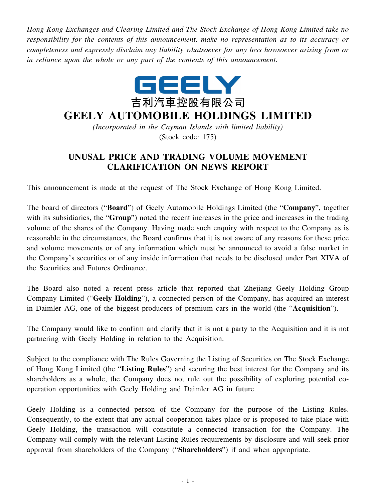*Hong Kong Exchanges and Clearing Limited and The Stock Exchange of Hong Kong Limited take no responsibility for the contents of this announcement, make no representation as to its accuracy or completeness and expressly disclaim any liability whatsoever for any loss howsoever arising from or in reliance upon the whole or any part of the contents of this announcement.*



## **GEELY AUTOMOBILE HOLDINGS LIMITED**

*(Incorporated in the Cayman Islands with limited liability)* (Stock code: 175)

## **UNUSAL PRICE AND TRADING VOLUME MOVEMENT CLARIFICATION ON NEWS REPORT**

This announcement is made at the request of The Stock Exchange of Hong Kong Limited.

The board of directors ("**Board**") of Geely Automobile Holdings Limited (the "**Company**", together with its subsidiaries, the "**Group**") noted the recent increases in the price and increases in the trading volume of the shares of the Company. Having made such enquiry with respect to the Company as is reasonable in the circumstances, the Board confirms that it is not aware of any reasons for these price and volume movements or of any information which must be announced to avoid a false market in the Company's securities or of any inside information that needs to be disclosed under Part XIVA of the Securities and Futures Ordinance.

The Board also noted a recent press article that reported that Zhejiang Geely Holding Group Company Limited ("**Geely Holding**"), a connected person of the Company, has acquired an interest in Daimler AG, one of the biggest producers of premium cars in the world (the "**Acquisition**").

The Company would like to confirm and clarify that it is not a party to the Acquisition and it is not partnering with Geely Holding in relation to the Acquisition.

Subject to the compliance with The Rules Governing the Listing of Securities on The Stock Exchange of Hong Kong Limited (the "**Listing Rules**") and securing the best interest for the Company and its shareholders as a whole, the Company does not rule out the possibility of exploring potential cooperation opportunities with Geely Holding and Daimler AG in future.

Geely Holding is a connected person of the Company for the purpose of the Listing Rules. Consequently, to the extent that any actual cooperation takes place or is proposed to take place with Geely Holding, the transaction will constitute a connected transaction for the Company. The Company will comply with the relevant Listing Rules requirements by disclosure and will seek prior approval from shareholders of the Company ("**Shareholders**") if and when appropriate.